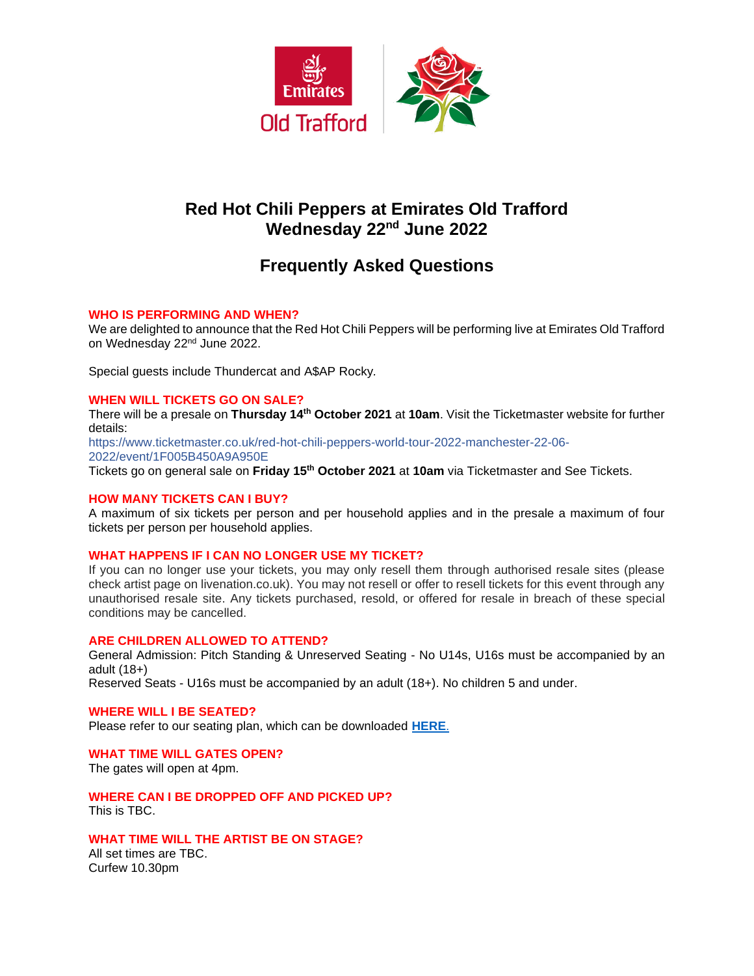

# **Red Hot Chili Peppers at Emirates Old Trafford Wednesday 22nd June 2022**

# **Frequently Asked Questions**

# **WHO IS PERFORMING AND WHEN?**

We are delighted to announce that the Red Hot Chili Peppers will be performing live at Emirates Old Trafford on Wednesday 22nd June 2022.

Special guests include Thundercat and A\$AP Rocky*.*

# **WHEN WILL TICKETS GO ON SALE?**

There will be a presale on **Thursday 14th October 2021** at **10am**. Visit the Ticketmaster website for further details:

https://www.ticketmaster.co.uk/red-hot-chili-peppers-world-tour-2022-manchester-22-06- 2022/event/1F005B450A9A950E

Tickets go on general sale on **Friday 15th October 2021** at **10am** via Ticketmaster and See Tickets.

## **HOW MANY TICKETS CAN I BUY?**

A maximum of six tickets per person and per household applies and in the presale a maximum of four tickets per person per household applies.

## **WHAT HAPPENS IF I CAN NO LONGER USE MY TICKET?**

If you can no longer use your tickets, you may only resell them through authorised resale sites (please check artist page on livenation.co.uk). You may not resell or offer to resell tickets for this event through any unauthorised resale site. Any tickets purchased, resold, or offered for resale in breach of these special conditions may be cancelled.

## **ARE CHILDREN ALLOWED TO ATTEND?**

General Admission: Pitch Standing & Unreserved Seating - No U14s, U16s must be accompanied by an adult (18+)

Reserved Seats - U16s must be accompanied by an adult (18+). No children 5 and under.

# **WHERE WILL I BE SEATED?**

Please refer to our seating plan, which can be downloaded **[HERE](https://www.lancashirecricket.co.uk/media/19339/rhcp-stadium-map-v2.gif)**.

## **WHAT TIME WILL GATES OPEN?**

The gates will open at 4pm.

**WHERE CAN I BE DROPPED OFF AND PICKED UP?** This is TBC.

## **WHAT TIME WILL THE ARTIST BE ON STAGE?**

All set times are TBC. Curfew 10.30pm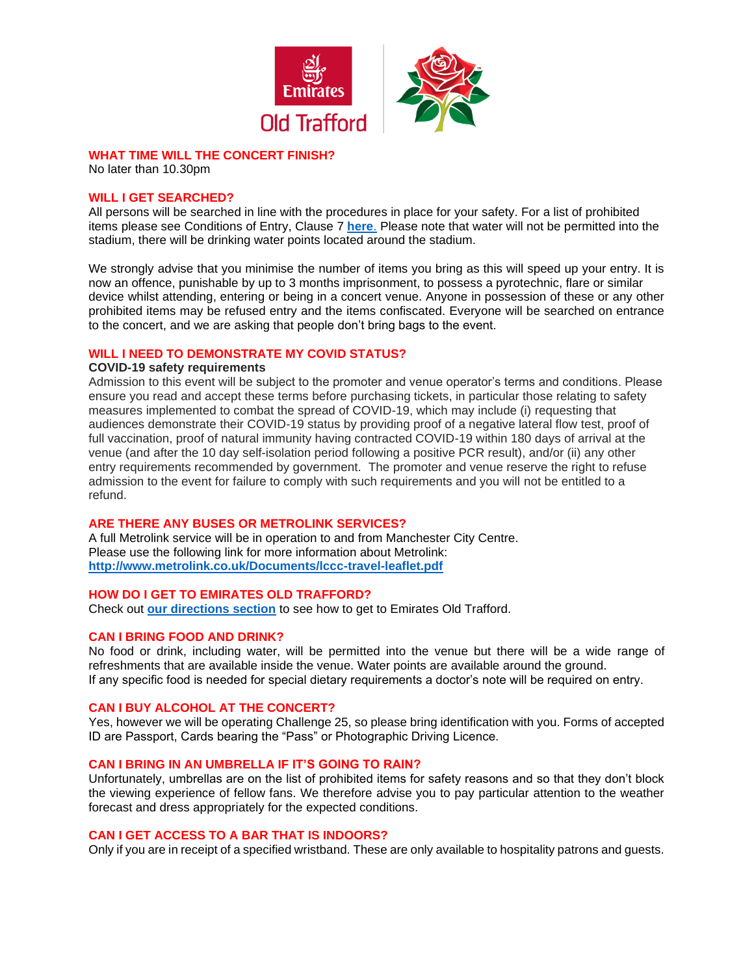

# **WHAT TIME WILL THE CONCERT FINISH?**

No later than 10.30pm

#### **WILL I GET SEARCHED?**

All persons will be searched in line with the procedures in place for your safety. For a list of prohibited items please see Conditions of Entry, Clause 7 **[here](https://cricket.lancashirecricket.co.uk/media/17097/full-ticket-terms-and-conditions-and-conditions-of-entry-2021-v3.pdf)**. Please note that water will not be permitted into the stadium, there will be drinking water points located around the stadium.

We strongly advise that you minimise the number of items you bring as this will speed up your entry. It is now an offence, punishable by up to 3 months imprisonment, to possess a pyrotechnic, flare or similar device whilst attending, entering or being in a concert venue. Anyone in possession of these or any other prohibited items may be refused entry and the items confiscated. Everyone will be searched on entrance to the concert, and we are asking that people don't bring bags to the event.

## **WILL I NEED TO DEMONSTRATE MY COVID STATUS?**

#### **COVID-19 safety requirements**

Admission to this event will be subject to the promoter and venue operator's terms and conditions. Please ensure you read and accept these terms before purchasing tickets, in particular those relating to safety measures implemented to combat the spread of COVID-19, which may include (i) requesting that audiences demonstrate their COVID-19 status by providing proof of a negative lateral flow test, proof of full vaccination, proof of natural immunity having contracted COVID-19 within 180 days of arrival at the venue (and after the 10 day self-isolation period following a positive PCR result), and/or (ii) any other entry requirements recommended by government. The promoter and venue reserve the right to refuse admission to the event for failure to comply with such requirements and you will not be entitled to a refund.

# **ARE THERE ANY BUSES OR METROLINK SERVICES?**

A full Metrolink service will be in operation to and from Manchester City Centre. Please use the following link for more information about Metrolink: **<http://www.metrolink.co.uk/Documents/lccc-travel-leaflet.pdf>**

#### **HOW DO I GET TO EMIRATES OLD TRAFFORD?**

Check out **[our directions section](http://cricket.lancashirecricket.co.uk/media/7221/lc_how_to_find_us.pdf)** to see how to get to Emirates Old Trafford.

## **CAN I BRING FOOD AND DRINK?**

No food or drink, including water, will be permitted into the venue but there will be a wide range of refreshments that are available inside the venue. Water points are available around the ground. If any specific food is needed for special dietary requirements a doctor's note will be required on entry.

## **CAN I BUY ALCOHOL AT THE CONCERT?**

Yes, however we will be operating Challenge 25, so please bring identification with you. Forms of accepted ID are Passport, Cards bearing the "Pass" or Photographic Driving Licence.

#### **CAN I BRING IN AN UMBRELLA IF IT'S GOING TO RAIN?**

Unfortunately, umbrellas are on the list of prohibited items for safety reasons and so that they don't block the viewing experience of fellow fans. We therefore advise you to pay particular attention to the weather forecast and dress appropriately for the expected conditions.

#### **CAN I GET ACCESS TO A BAR THAT IS INDOORS?**

Only if you are in receipt of a specified wristband. These are only available to hospitality patrons and guests.